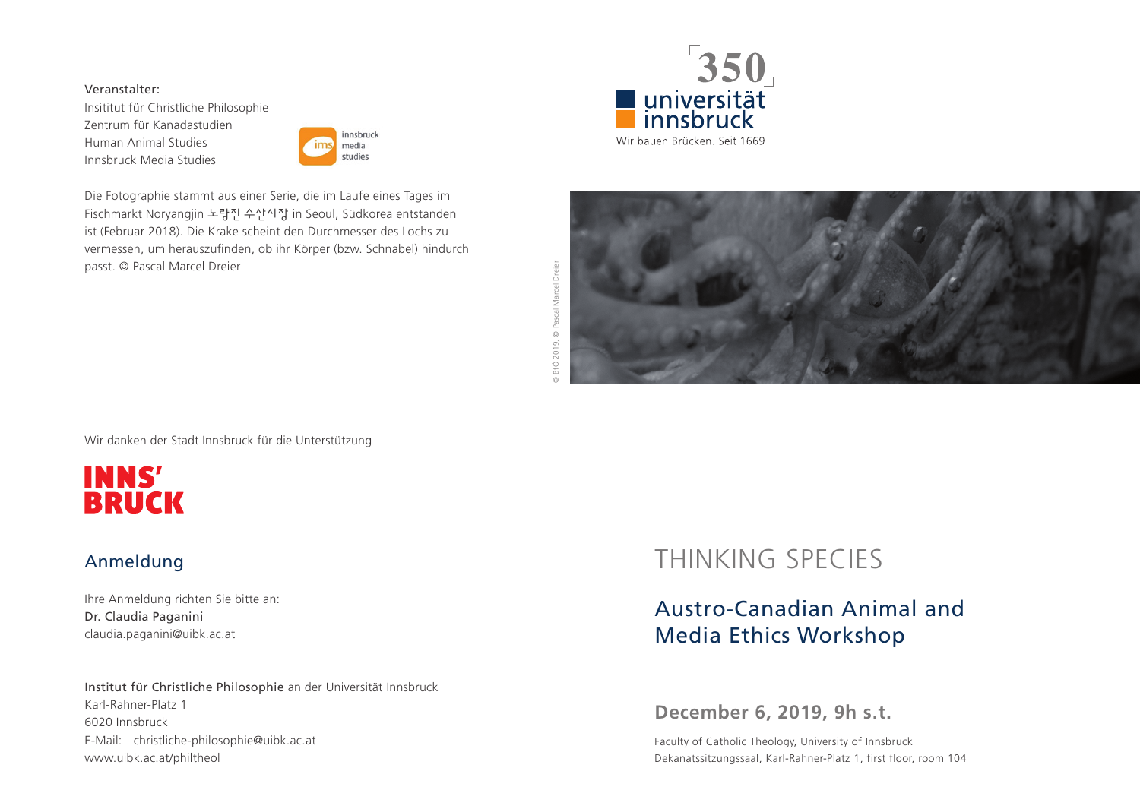#### Veranstalter:

Insititut für Christliche Philosophie Zentrum für Kanadastudien Human Animal Studies Innsbruck Media Studies



Die Fotographie stammt aus einer Serie, die im Laufe eines Tages im Fischmarkt Noryangjin 노량진 수산시장 in Seoul, Südkorea entstanden ist (Februar 2018). Die Krake scheint den Durchmesser des Lochs zu vermessen, um herauszufinden, ob ihr Körper (bzw. Schnabel) hindurch passt. © Pascal Marcel Dreier







Wir danken der Stadt Innsbruck für die Unterstützung



### Anmeldung

Ihre Anmeldung richten Sie bitte an: Dr. Claudia Paganini claudia.paganini@uibk.ac.at

Institut für Christliche Philosophie an der Universität Innsbruck Karl-Rahner-Platz 1 6020 Innsbruck E-Mail: christliche-philosophie@uibk.ac.at www.uibk.ac.at/philtheol

# THINKING SPECIES

## Austro-Canadian Animal and Media Ethics Workshop

## **December 6, 2019, 9h s.t.**

Faculty of Catholic Theology, University of Innsbruck Dekanatssitzungssaal, Karl-Rahner-Platz 1, first floor, room 104